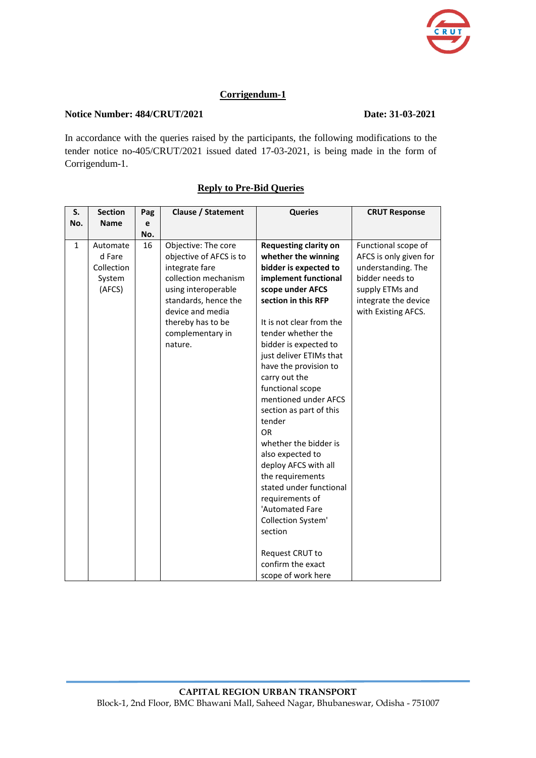

## **Corrigendum-1**

## **Notice Number: 484/CRUT/2021** Date: 31-03-2021

In accordance with the queries raised by the participants, the following modifications to the tender notice no-405/CRUT/2021 issued dated 17-03-2021, is being made in the form of Corrigendum-1.

| S.           | <b>Section</b> | Pag | <b>Clause / Statement</b> | <b>Queries</b>               | <b>CRUT Response</b>   |
|--------------|----------------|-----|---------------------------|------------------------------|------------------------|
| No.          | <b>Name</b>    | e   |                           |                              |                        |
|              |                | No. |                           |                              |                        |
| $\mathbf{1}$ | Automate       | 16  | Objective: The core       | <b>Requesting clarity on</b> | Functional scope of    |
|              | d Fare         |     | objective of AFCS is to   | whether the winning          | AFCS is only given for |
|              | Collection     |     | integrate fare            | bidder is expected to        | understanding. The     |
|              | System         |     | collection mechanism      | implement functional         | bidder needs to        |
|              | (AFCS)         |     | using interoperable       | scope under AFCS             | supply ETMs and        |
|              |                |     | standards, hence the      | section in this RFP          | integrate the device   |
|              |                |     | device and media          |                              | with Existing AFCS.    |
|              |                |     | thereby has to be         | It is not clear from the     |                        |
|              |                |     | complementary in          | tender whether the           |                        |
|              |                |     | nature.                   | bidder is expected to        |                        |
|              |                |     |                           | just deliver ETIMs that      |                        |
|              |                |     |                           | have the provision to        |                        |
|              |                |     |                           | carry out the                |                        |
|              |                |     |                           | functional scope             |                        |
|              |                |     |                           | mentioned under AFCS         |                        |
|              |                |     |                           | section as part of this      |                        |
|              |                |     |                           | tender                       |                        |
|              |                |     |                           | <b>OR</b>                    |                        |
|              |                |     |                           | whether the bidder is        |                        |
|              |                |     |                           | also expected to             |                        |
|              |                |     |                           | deploy AFCS with all         |                        |
|              |                |     |                           | the requirements             |                        |
|              |                |     |                           | stated under functional      |                        |
|              |                |     |                           | requirements of              |                        |
|              |                |     |                           | 'Automated Fare              |                        |
|              |                |     |                           | Collection System'           |                        |
|              |                |     |                           | section                      |                        |
|              |                |     |                           | Request CRUT to              |                        |
|              |                |     |                           | confirm the exact            |                        |
|              |                |     |                           | scope of work here           |                        |

## **Reply to Pre-Bid Queries**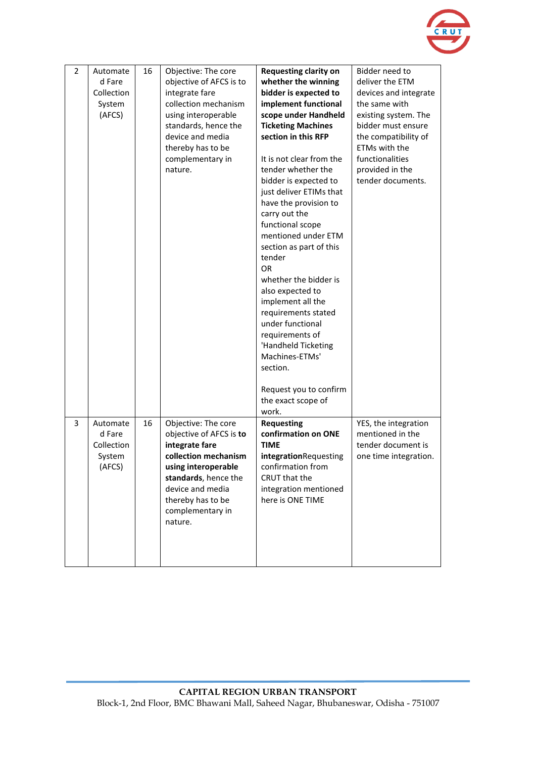

| 2 | Automate<br>d Fare<br>Collection<br>System<br>(AFCS) | 16 | Objective: The core<br>objective of AFCS is to<br>integrate fare<br>collection mechanism<br>using interoperable<br>standards, hence the<br>device and media<br>thereby has to be<br>complementary in<br>nature. | <b>Requesting clarity on</b><br>whether the winning<br>bidder is expected to<br>implement functional<br>scope under Handheld<br><b>Ticketing Machines</b><br>section in this RFP<br>It is not clear from the<br>tender whether the<br>bidder is expected to<br>just deliver ETIMs that<br>have the provision to<br>carry out the<br>functional scope<br>mentioned under ETM<br>section as part of this<br>tender<br>OR<br>whether the bidder is<br>also expected to<br>implement all the<br>requirements stated<br>under functional<br>requirements of<br>'Handheld Ticketing<br>Machines-ETMs'<br>section.<br>Request you to confirm<br>the exact scope of<br>work. | Bidder need to<br>deliver the ETM<br>devices and integrate<br>the same with<br>existing system. The<br>bidder must ensure<br>the compatibility of<br>ETMs with the<br>functionalities<br>provided in the<br>tender documents. |
|---|------------------------------------------------------|----|-----------------------------------------------------------------------------------------------------------------------------------------------------------------------------------------------------------------|----------------------------------------------------------------------------------------------------------------------------------------------------------------------------------------------------------------------------------------------------------------------------------------------------------------------------------------------------------------------------------------------------------------------------------------------------------------------------------------------------------------------------------------------------------------------------------------------------------------------------------------------------------------------|-------------------------------------------------------------------------------------------------------------------------------------------------------------------------------------------------------------------------------|
| 3 | Automate<br>d Fare<br>Collection<br>System<br>(AFCS) | 16 | Objective: The core<br>objective of AFCS is to<br>integrate fare<br>collection mechanism<br>using interoperable<br>standards, hence the<br>device and media<br>thereby has to be<br>complementary in<br>nature. | <b>Requesting</b><br>confirmation on ONE<br><b>TIME</b><br>integrationRequesting<br>confirmation from<br>CRUT that the<br>integration mentioned<br>here is ONE TIME                                                                                                                                                                                                                                                                                                                                                                                                                                                                                                  | YES, the integration<br>mentioned in the<br>tender document is<br>one time integration.                                                                                                                                       |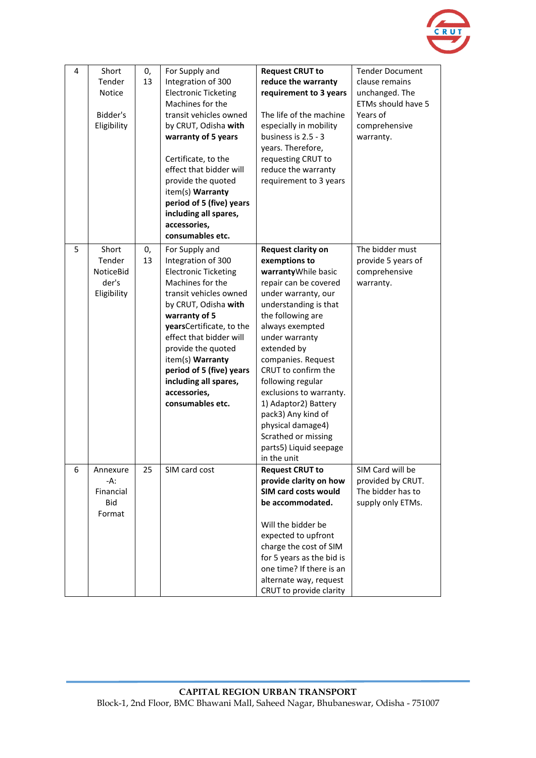

| 4 | Short<br>Tender<br>Notice<br>Bidder's<br>Eligibility | 0,<br>13 | For Supply and<br>Integration of 300<br><b>Electronic Ticketing</b><br>Machines for the<br>transit vehicles owned<br>by CRUT, Odisha with<br>warranty of 5 years<br>Certificate, to the<br>effect that bidder will<br>provide the quoted<br>item(s) Warranty<br>period of 5 (five) years<br>including all spares,<br>accessories,<br>consumables etc. | <b>Request CRUT to</b><br>reduce the warranty<br>requirement to 3 years<br>The life of the machine<br>especially in mobility<br>business is 2.5 - 3<br>years. Therefore,<br>requesting CRUT to<br>reduce the warranty<br>requirement to 3 years                                                                                                                                                                                                     | <b>Tender Document</b><br>clause remains<br>unchanged. The<br>ETMs should have 5<br>Years of<br>comprehensive<br>warranty. |
|---|------------------------------------------------------|----------|-------------------------------------------------------------------------------------------------------------------------------------------------------------------------------------------------------------------------------------------------------------------------------------------------------------------------------------------------------|-----------------------------------------------------------------------------------------------------------------------------------------------------------------------------------------------------------------------------------------------------------------------------------------------------------------------------------------------------------------------------------------------------------------------------------------------------|----------------------------------------------------------------------------------------------------------------------------|
| 5 | Short<br>Tender<br>NoticeBid<br>der's<br>Eligibility | 0,<br>13 | For Supply and<br>Integration of 300<br><b>Electronic Ticketing</b><br>Machines for the<br>transit vehicles owned<br>by CRUT, Odisha with<br>warranty of 5<br>yearsCertificate, to the<br>effect that bidder will<br>provide the quoted<br>item(s) Warranty<br>period of 5 (five) years<br>including all spares,<br>accessories,<br>consumables etc.  | <b>Request clarity on</b><br>exemptions to<br>warrantyWhile basic<br>repair can be covered<br>under warranty, our<br>understanding is that<br>the following are<br>always exempted<br>under warranty<br>extended by<br>companies. Request<br>CRUT to confirm the<br>following regular<br>exclusions to warranty.<br>1) Adaptor2) Battery<br>pack3) Any kind of<br>physical damage4)<br>Scrathed or missing<br>parts5) Liquid seepage<br>in the unit | The bidder must<br>provide 5 years of<br>comprehensive<br>warranty.                                                        |
| 6 | Annexure<br>-A:<br>Financial<br>Bid<br>Format        | 25       | SIM card cost                                                                                                                                                                                                                                                                                                                                         | <b>Request CRUT to</b><br>provide clarity on how<br>SIM card costs would<br>be accommodated.<br>Will the bidder be<br>expected to upfront<br>charge the cost of SIM<br>for 5 years as the bid is<br>one time? If there is an<br>alternate way, request<br>CRUT to provide clarity                                                                                                                                                                   | SIM Card will be<br>provided by CRUT.<br>The bidder has to<br>supply only ETMs.                                            |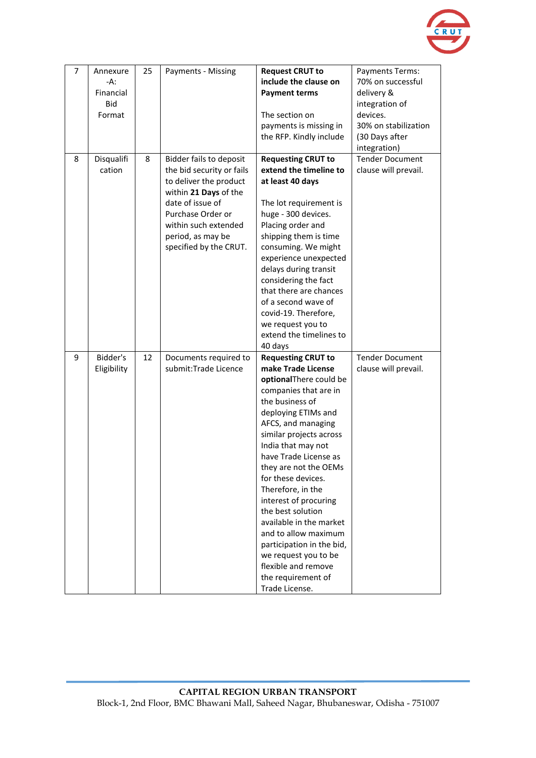

| $\overline{7}$ | Annexure<br>$-A$ :<br>Financial<br><b>Bid</b><br>Format | 25 | Payments - Missing                                                                                                                                                                                                      | <b>Request CRUT to</b><br>include the clause on<br><b>Payment terms</b><br>The section on<br>payments is missing in<br>the RFP. Kindly include                                                                                                                                                                                                                                                                                                                                                                                        | Payments Terms:<br>70% on successful<br>delivery &<br>integration of<br>devices.<br>30% on stabilization<br>(30 Days after<br>integration) |
|----------------|---------------------------------------------------------|----|-------------------------------------------------------------------------------------------------------------------------------------------------------------------------------------------------------------------------|---------------------------------------------------------------------------------------------------------------------------------------------------------------------------------------------------------------------------------------------------------------------------------------------------------------------------------------------------------------------------------------------------------------------------------------------------------------------------------------------------------------------------------------|--------------------------------------------------------------------------------------------------------------------------------------------|
| 8              | Disqualifi<br>cation                                    | 8  | Bidder fails to deposit<br>the bid security or fails<br>to deliver the product<br>within 21 Days of the<br>date of issue of<br>Purchase Order or<br>within such extended<br>period, as may be<br>specified by the CRUT. | <b>Requesting CRUT to</b><br>extend the timeline to<br>at least 40 days<br>The lot requirement is<br>huge - 300 devices.<br>Placing order and<br>shipping them is time<br>consuming. We might<br>experience unexpected<br>delays during transit<br>considering the fact<br>that there are chances<br>of a second wave of<br>covid-19. Therefore,<br>we request you to<br>extend the timelines to<br>40 days                                                                                                                           | <b>Tender Document</b><br>clause will prevail.                                                                                             |
| 9              | Bidder's<br>Eligibility                                 | 12 | Documents required to<br>submit: Trade Licence                                                                                                                                                                          | <b>Requesting CRUT to</b><br>make Trade License<br>optionalThere could be<br>companies that are in<br>the business of<br>deploying ETIMs and<br>AFCS, and managing<br>similar projects across<br>India that may not<br>have Trade License as<br>they are not the OEMs<br>for these devices.<br>Therefore, in the<br>interest of procuring<br>the best solution<br>available in the market<br>and to allow maximum<br>participation in the bid,<br>we request you to be<br>flexible and remove<br>the requirement of<br>Trade License. | <b>Tender Document</b><br>clause will prevail.                                                                                             |